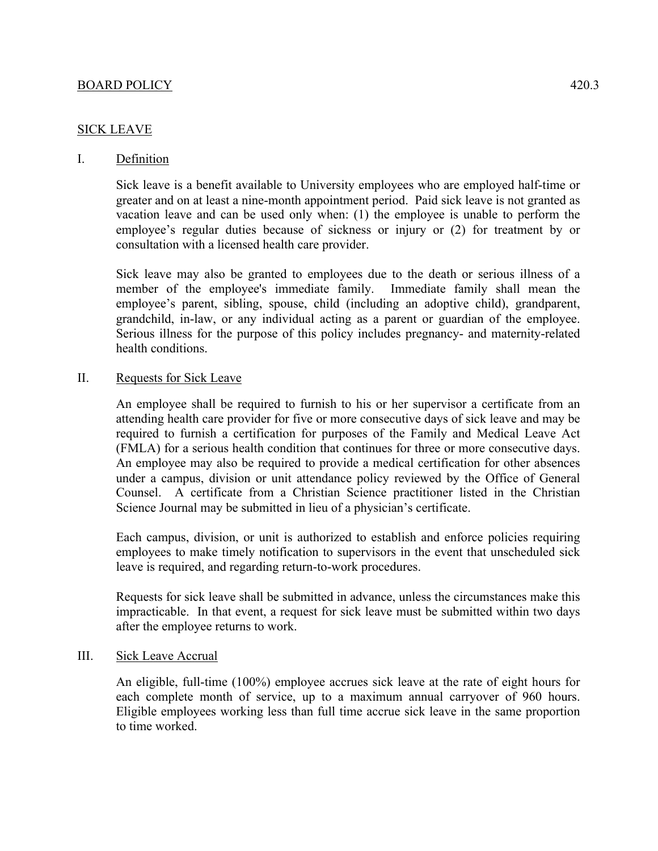#### BOARD POLICY 420.3

## SICK LEAVE

## I. Definition

Sick leave is a benefit available to University employees who are employed half-time or greater and on at least a nine-month appointment period. Paid sick leave is not granted as vacation leave and can be used only when: (1) the employee is unable to perform the employee's regular duties because of sickness or injury or (2) for treatment by or consultation with a licensed health care provider.

Sick leave may also be granted to employees due to the death or serious illness of a member of the employee's immediate family. Immediate family shall mean the employee's parent, sibling, spouse, child (including an adoptive child), grandparent, grandchild, in-law, or any individual acting as a parent or guardian of the employee. Serious illness for the purpose of this policy includes pregnancy- and maternity-related health conditions.

#### II. Requests for Sick Leave

An employee shall be required to furnish to his or her supervisor a certificate from an attending health care provider for five or more consecutive days of sick leave and may be required to furnish a certification for purposes of the Family and Medical Leave Act (FMLA) for a serious health condition that continues for three or more consecutive days. An employee may also be required to provide a medical certification for other absences under a campus, division or unit attendance policy reviewed by the Office of General Counsel. A certificate from a Christian Science practitioner listed in the Christian Science Journal may be submitted in lieu of a physician's certificate.

Each campus, division, or unit is authorized to establish and enforce policies requiring employees to make timely notification to supervisors in the event that unscheduled sick leave is required, and regarding return-to-work procedures.

Requests for sick leave shall be submitted in advance, unless the circumstances make this impracticable. In that event, a request for sick leave must be submitted within two days after the employee returns to work.

#### III. Sick Leave Accrual

An eligible, full-time (100%) employee accrues sick leave at the rate of eight hours for each complete month of service, up to a maximum annual carryover of 960 hours. Eligible employees working less than full time accrue sick leave in the same proportion to time worked.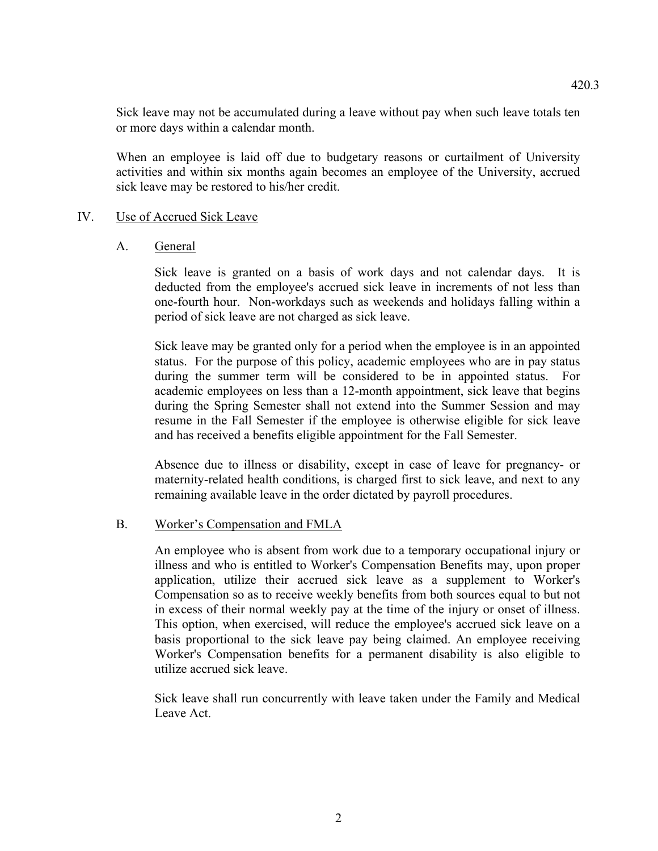Sick leave may not be accumulated during a leave without pay when such leave totals ten or more days within a calendar month.

When an employee is laid off due to budgetary reasons or curtailment of University activities and within six months again becomes an employee of the University, accrued sick leave may be restored to his/her credit.

### IV. Use of Accrued Sick Leave

### A. General

Sick leave is granted on a basis of work days and not calendar days. It is deducted from the employee's accrued sick leave in increments of not less than one-fourth hour. Non-workdays such as weekends and holidays falling within a period of sick leave are not charged as sick leave.

Sick leave may be granted only for a period when the employee is in an appointed status. For the purpose of this policy, academic employees who are in pay status during the summer term will be considered to be in appointed status. For academic employees on less than a 12-month appointment, sick leave that begins during the Spring Semester shall not extend into the Summer Session and may resume in the Fall Semester if the employee is otherwise eligible for sick leave and has received a benefits eligible appointment for the Fall Semester.

Absence due to illness or disability, except in case of leave for pregnancy- or maternity-related health conditions, is charged first to sick leave, and next to any remaining available leave in the order dictated by payroll procedures.

# B. Worker's Compensation and FMLA

An employee who is absent from work due to a temporary occupational injury or illness and who is entitled to Worker's Compensation Benefits may, upon proper application, utilize their accrued sick leave as a supplement to Worker's Compensation so as to receive weekly benefits from both sources equal to but not in excess of their normal weekly pay at the time of the injury or onset of illness. This option, when exercised, will reduce the employee's accrued sick leave on a basis proportional to the sick leave pay being claimed. An employee receiving Worker's Compensation benefits for a permanent disability is also eligible to utilize accrued sick leave.

Sick leave shall run concurrently with leave taken under the Family and Medical Leave Act.